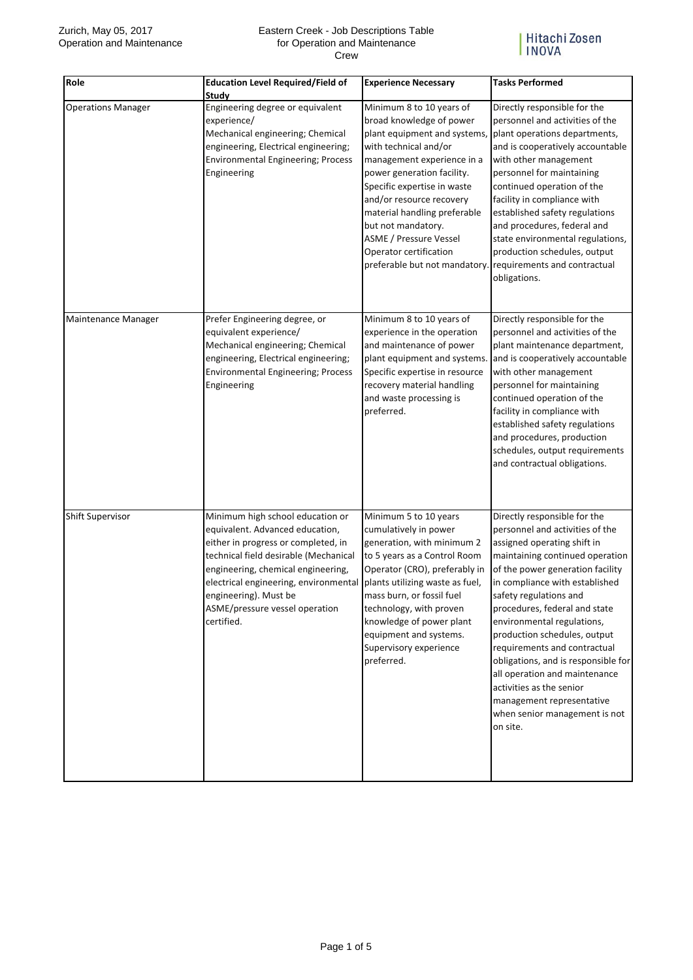## Eastern Creek - Job Descriptions Table for Operation and Maintenance Crew



| Role                      | <b>Education Level Required/Field of</b><br>Study                                                                                                                                                                                                                                                           | <b>Experience Necessary</b>                                                                                                                                                                                                                                                                                                                                                            | <b>Tasks Performed</b>                                                                                                                                                                                                                                                                                                                                                                                                                                                                                                                         |
|---------------------------|-------------------------------------------------------------------------------------------------------------------------------------------------------------------------------------------------------------------------------------------------------------------------------------------------------------|----------------------------------------------------------------------------------------------------------------------------------------------------------------------------------------------------------------------------------------------------------------------------------------------------------------------------------------------------------------------------------------|------------------------------------------------------------------------------------------------------------------------------------------------------------------------------------------------------------------------------------------------------------------------------------------------------------------------------------------------------------------------------------------------------------------------------------------------------------------------------------------------------------------------------------------------|
| <b>Operations Manager</b> | Engineering degree or equivalent<br>experience/<br>Mechanical engineering; Chemical<br>engineering, Electrical engineering;<br><b>Environmental Engineering; Process</b><br>Engineering                                                                                                                     | Minimum 8 to 10 years of<br>broad knowledge of power<br>plant equipment and systems,<br>with technical and/or<br>management experience in a<br>power generation facility.<br>Specific expertise in waste<br>and/or resource recovery<br>material handling preferable<br>but not mandatory.<br><b>ASME / Pressure Vessel</b><br>Operator certification<br>preferable but not mandatory. | Directly responsible for the<br>personnel and activities of the<br>plant operations departments,<br>and is cooperatively accountable<br>with other management<br>personnel for maintaining<br>continued operation of the<br>facility in compliance with<br>established safety regulations<br>and procedures, federal and<br>state environmental regulations,<br>production schedules, output<br>requirements and contractual<br>obligations.                                                                                                   |
| Maintenance Manager       | Prefer Engineering degree, or<br>equivalent experience/<br>Mechanical engineering; Chemical<br>engineering, Electrical engineering;<br><b>Environmental Engineering; Process</b><br>Engineering                                                                                                             | Minimum 8 to 10 years of<br>experience in the operation<br>and maintenance of power<br>plant equipment and systems.<br>Specific expertise in resource<br>recovery material handling<br>and waste processing is<br>preferred.                                                                                                                                                           | Directly responsible for the<br>personnel and activities of the<br>plant maintenance department,<br>and is cooperatively accountable<br>with other management<br>personnel for maintaining<br>continued operation of the<br>facility in compliance with<br>established safety regulations<br>and procedures, production<br>schedules, output requirements<br>and contractual obligations.                                                                                                                                                      |
| <b>Shift Supervisor</b>   | Minimum high school education or<br>equivalent. Advanced education,<br>either in progress or completed, in<br>technical field desirable (Mechanical<br>engineering, chemical engineering,<br>electrical engineering, environmental<br>engineering). Must be<br>ASME/pressure vessel operation<br>certified. | Minimum 5 to 10 years<br>cumulatively in power<br>generation, with minimum 2<br>to 5 years as a Control Room<br>Operator (CRO), preferably in<br>plants utilizing waste as fuel,<br>mass burn, or fossil fuel<br>technology, with proven<br>knowledge of power plant<br>equipment and systems.<br>Supervisory experience<br>preferred.                                                 | Directly responsible for the<br>personnel and activities of the<br>assigned operating shift in<br>maintaining continued operation<br>of the power generation facility<br>in compliance with established<br>safety regulations and<br>procedures, federal and state<br>environmental regulations,<br>production schedules, output<br>requirements and contractual<br>obligations, and is responsible for<br>all operation and maintenance<br>activities as the senior<br>management representative<br>when senior management is not<br>on site. |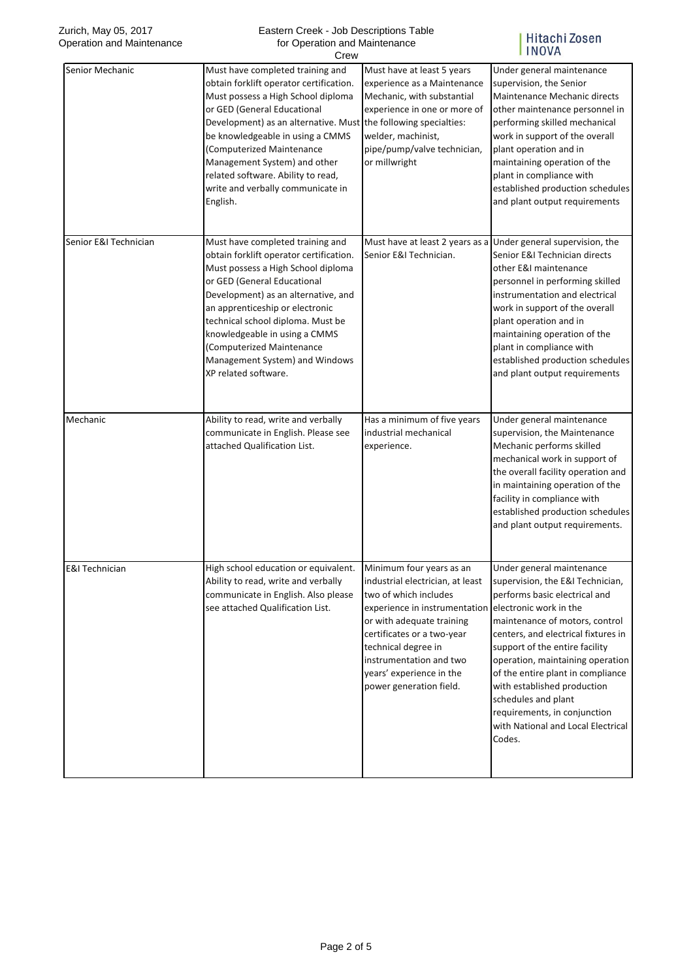| Zurich, May 05, 2017<br>Operation and Maintenance | Eastern Creek - Job Descriptions Table<br>for Operation and Maintenance<br>Crew                                                                                                                                                                                                                                                                                                                             |                                                                                                                                                                                                                                                                                                                   | Hitachi Zosen<br><b>INOVA</b>                                                                                                                                                                                                                                                                                                                                                                                            |
|---------------------------------------------------|-------------------------------------------------------------------------------------------------------------------------------------------------------------------------------------------------------------------------------------------------------------------------------------------------------------------------------------------------------------------------------------------------------------|-------------------------------------------------------------------------------------------------------------------------------------------------------------------------------------------------------------------------------------------------------------------------------------------------------------------|--------------------------------------------------------------------------------------------------------------------------------------------------------------------------------------------------------------------------------------------------------------------------------------------------------------------------------------------------------------------------------------------------------------------------|
| Senior Mechanic                                   | Must have completed training and<br>obtain forklift operator certification.<br>Must possess a High School diploma<br>or GED (General Educational<br>Development) as an alternative. Must the following specialties:<br>be knowledgeable in using a CMMS<br>(Computerized Maintenance<br>Management System) and other<br>related software. Ability to read,<br>write and verbally communicate in<br>English. | Must have at least 5 years<br>experience as a Maintenance<br>Mechanic, with substantial<br>experience in one or more of<br>welder, machinist,<br>pipe/pump/valve technician,<br>or millwright                                                                                                                     | Under general maintenance<br>supervision, the Senior<br>Maintenance Mechanic directs<br>other maintenance personnel in<br>performing skilled mechanical<br>work in support of the overall<br>plant operation and in<br>maintaining operation of the<br>plant in compliance with<br>established production schedules<br>and plant output requirements                                                                     |
| Senior E&I Technician                             | Must have completed training and<br>obtain forklift operator certification.<br>Must possess a High School diploma<br>or GED (General Educational<br>Development) as an alternative, and<br>an apprenticeship or electronic<br>technical school diploma. Must be<br>knowledgeable in using a CMMS<br>(Computerized Maintenance<br>Management System) and Windows<br>XP related software.                     | Senior E&I Technician.                                                                                                                                                                                                                                                                                            | Must have at least 2 years as a Under general supervision, the<br>Senior E&I Technician directs<br>other E&I maintenance<br>personnel in performing skilled<br>instrumentation and electrical<br>work in support of the overall<br>plant operation and in<br>maintaining operation of the<br>plant in compliance with<br>established production schedules<br>and plant output requirements                               |
| Mechanic                                          | Ability to read, write and verbally<br>communicate in English. Please see<br>attached Qualification List.                                                                                                                                                                                                                                                                                                   | Has a minimum of five years<br>industrial mechanical<br>experience.                                                                                                                                                                                                                                               | Under general maintenance<br>supervision, the Maintenance<br>Mechanic performs skilled<br>mechanical work in support of<br>the overall facility operation and<br>in maintaining operation of the<br>facility in compliance with<br>established production schedules<br>and plant output requirements.                                                                                                                    |
| <b>E&amp;I Technician</b>                         | High school education or equivalent.<br>Ability to read, write and verbally<br>communicate in English. Also please<br>see attached Qualification List.                                                                                                                                                                                                                                                      | Minimum four years as an<br>industrial electrician, at least<br>two of which includes<br>experience in instrumentation electronic work in the<br>or with adequate training<br>certificates or a two-year<br>technical degree in<br>instrumentation and two<br>years' experience in the<br>power generation field. | Under general maintenance<br>supervision, the E&I Technician,<br>performs basic electrical and<br>maintenance of motors, control<br>centers, and electrical fixtures in<br>support of the entire facility<br>operation, maintaining operation<br>of the entire plant in compliance<br>with established production<br>schedules and plant<br>requirements, in conjunction<br>with National and Local Electrical<br>Codes. |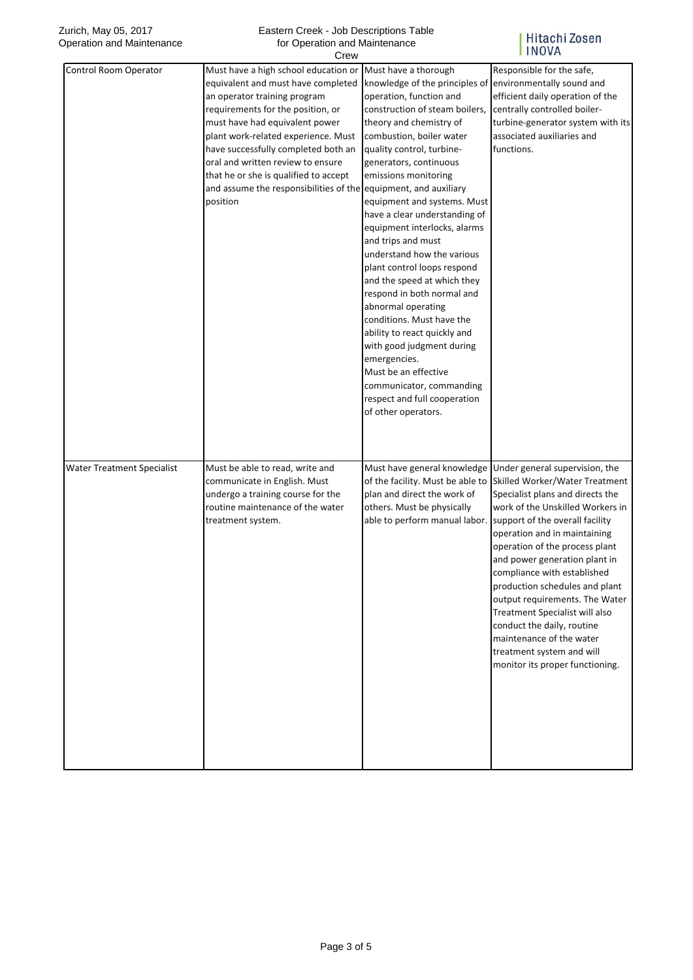| Zurich, May 05, 2017<br>Eastern Creek - Job Descriptions Table<br>Operation and Maintenance<br>for Operation and Maintenance<br>Crew |                                                                                                                                                                                                                                                                                                                                                                                                     |                                                                                                                                                                                                                                                                                                                                                                                                                                                                                                                                                                                                                                                                                                                                                                                  | Hitachi Zosen<br><b>INOVA</b>                                                                                                                                                                                                                                                                                                                                                                                                                                                                                                                 |  |
|--------------------------------------------------------------------------------------------------------------------------------------|-----------------------------------------------------------------------------------------------------------------------------------------------------------------------------------------------------------------------------------------------------------------------------------------------------------------------------------------------------------------------------------------------------|----------------------------------------------------------------------------------------------------------------------------------------------------------------------------------------------------------------------------------------------------------------------------------------------------------------------------------------------------------------------------------------------------------------------------------------------------------------------------------------------------------------------------------------------------------------------------------------------------------------------------------------------------------------------------------------------------------------------------------------------------------------------------------|-----------------------------------------------------------------------------------------------------------------------------------------------------------------------------------------------------------------------------------------------------------------------------------------------------------------------------------------------------------------------------------------------------------------------------------------------------------------------------------------------------------------------------------------------|--|
| Control Room Operator                                                                                                                | Must have a high school education or<br>equivalent and must have completed<br>an operator training program<br>requirements for the position, or<br>must have had equivalent power<br>plant work-related experience. Must<br>have successfully completed both an<br>oral and written review to ensure<br>that he or she is qualified to accept<br>and assume the responsibilities of the<br>position | Must have a thorough<br>knowledge of the principles of<br>operation, function and<br>construction of steam boilers,<br>theory and chemistry of<br>combustion, boiler water<br>quality control, turbine-<br>generators, continuous<br>emissions monitoring<br>equipment, and auxiliary<br>equipment and systems. Must<br>have a clear understanding of<br>equipment interlocks, alarms<br>and trips and must<br>understand how the various<br>plant control loops respond<br>and the speed at which they<br>respond in both normal and<br>abnormal operating<br>conditions. Must have the<br>ability to react quickly and<br>with good judgment during<br>emergencies.<br>Must be an effective<br>communicator, commanding<br>respect and full cooperation<br>of other operators. | Responsible for the safe,<br>environmentally sound and<br>efficient daily operation of the<br>centrally controlled boiler-<br>turbine-generator system with its<br>associated auxiliaries and<br>functions.                                                                                                                                                                                                                                                                                                                                   |  |
| <b>Water Treatment Specialist</b>                                                                                                    | Must be able to read, write and<br>communicate in English. Must<br>undergo a training course for the<br>routine maintenance of the water<br>treatment system.                                                                                                                                                                                                                                       | Must have general knowledge<br>of the facility. Must be able to<br>plan and direct the work of<br>others. Must be physically<br>able to perform manual labor.                                                                                                                                                                                                                                                                                                                                                                                                                                                                                                                                                                                                                    | Under general supervision, the<br>Skilled Worker/Water Treatment<br>Specialist plans and directs the<br>work of the Unskilled Workers in<br>support of the overall facility<br>operation and in maintaining<br>operation of the process plant<br>and power generation plant in<br>compliance with established<br>production schedules and plant<br>output requirements. The Water<br>Treatment Specialist will also<br>conduct the daily, routine<br>maintenance of the water<br>treatment system and will<br>monitor its proper functioning. |  |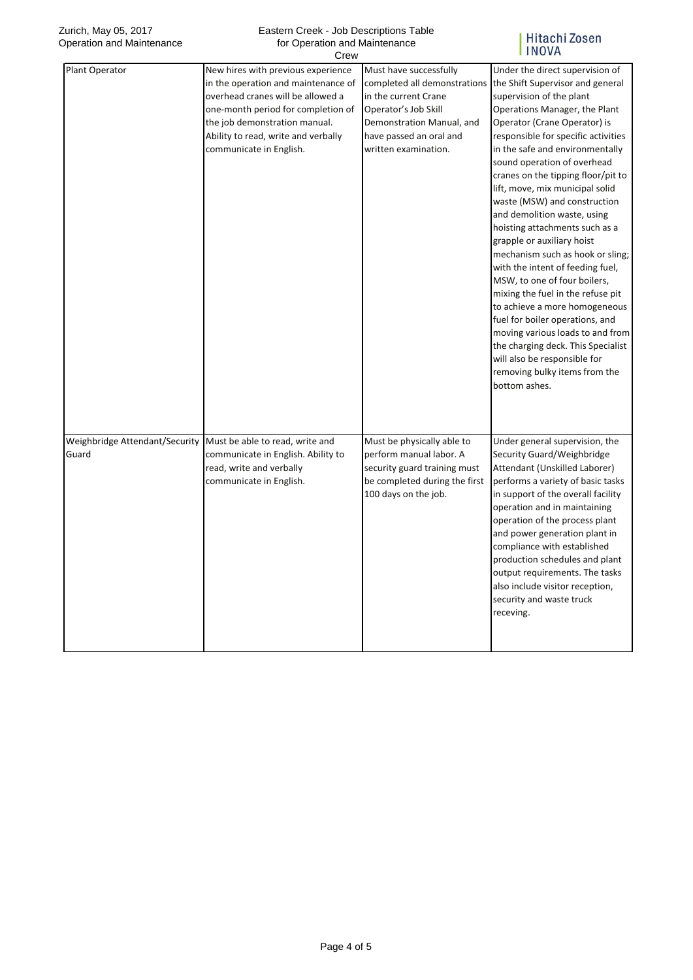## Eastern Creek - Job Descriptions Table for Operation and Maintenance  $C_{\text{FQM}}$

## Hitachi Zosen<br>INOVA

|                                         | ∪lew                                                                                                                                                                                                                                                    |                                                                                                                                                                                        |                                                                                                                                                                                                                                                                                                                                                                                                                                                                                                                                                                                                                                                                                                                                                                                                                                                                |
|-----------------------------------------|---------------------------------------------------------------------------------------------------------------------------------------------------------------------------------------------------------------------------------------------------------|----------------------------------------------------------------------------------------------------------------------------------------------------------------------------------------|----------------------------------------------------------------------------------------------------------------------------------------------------------------------------------------------------------------------------------------------------------------------------------------------------------------------------------------------------------------------------------------------------------------------------------------------------------------------------------------------------------------------------------------------------------------------------------------------------------------------------------------------------------------------------------------------------------------------------------------------------------------------------------------------------------------------------------------------------------------|
| Plant Operator                          | New hires with previous experience<br>in the operation and maintenance of<br>overhead cranes will be allowed a<br>one-month period for completion of<br>the job demonstration manual.<br>Ability to read, write and verbally<br>communicate in English. | Must have successfully<br>completed all demonstrations<br>in the current Crane<br>Operator's Job Skill<br>Demonstration Manual, and<br>have passed an oral and<br>written examination. | Under the direct supervision of<br>the Shift Supervisor and general<br>supervision of the plant<br>Operations Manager, the Plant<br>Operator (Crane Operator) is<br>responsible for specific activities<br>in the safe and environmentally<br>sound operation of overhead<br>cranes on the tipping floor/pit to<br>lift, move, mix municipal solid<br>waste (MSW) and construction<br>and demolition waste, using<br>hoisting attachments such as a<br>grapple or auxiliary hoist<br>mechanism such as hook or sling;<br>with the intent of feeding fuel,<br>MSW, to one of four boilers,<br>mixing the fuel in the refuse pit<br>to achieve a more homogeneous<br>fuel for boiler operations, and<br>moving various loads to and from<br>the charging deck. This Specialist<br>will also be responsible for<br>removing bulky items from the<br>bottom ashes. |
| Weighbridge Attendant/Security<br>Guard | Must be able to read, write and<br>communicate in English. Ability to<br>read, write and verbally<br>communicate in English.                                                                                                                            | Must be physically able to<br>perform manual labor. A<br>security guard training must<br>be completed during the first<br>100 days on the job.                                         | Under general supervision, the<br>Security Guard/Weighbridge<br>Attendant (Unskilled Laborer)<br>performs a variety of basic tasks<br>in support of the overall facility<br>operation and in maintaining<br>operation of the process plant<br>and power generation plant in<br>compliance with established<br>production schedules and plant<br>output requirements. The tasks<br>also include visitor reception,<br>security and waste truck<br>receving.                                                                                                                                                                                                                                                                                                                                                                                                     |